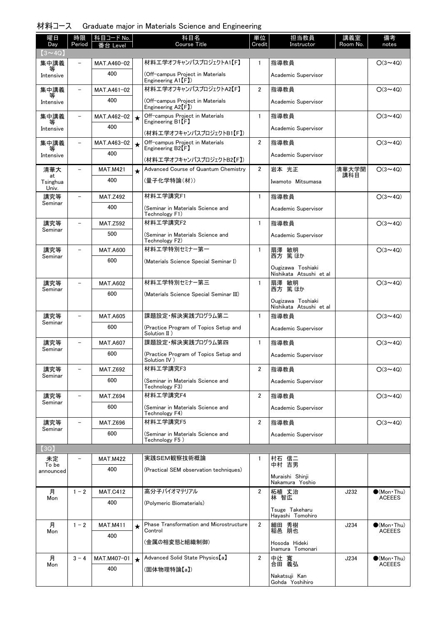| 材料コース Graduate major in Materials Science and Engineering |  |  |  |  |  |
|-----------------------------------------------------------|--|--|--|--|--|
|-----------------------------------------------------------|--|--|--|--|--|

| 曜日<br>Day               | 時限<br>Period             | 科目コード No.<br>番台 Level |         | 科目名<br><b>Course Title</b>                                            | 単位<br>Credit   | 担当教員<br>Instructor                           | 講義室<br>Room No. | 備考<br>notes                          |
|-------------------------|--------------------------|-----------------------|---------|-----------------------------------------------------------------------|----------------|----------------------------------------------|-----------------|--------------------------------------|
| $(3 \sim 4Q)$           |                          |                       |         |                                                                       |                |                                              |                 |                                      |
| 集中講義<br>等               |                          | MAT.A460-02           |         | 材料工学オフキャンパスプロジェクトA1【F】                                                | $\mathbf{1}$   | 指導教員                                         |                 | $O(3 \sim 4Q)$                       |
| Intensive               |                          | 400                   |         | (Off-campus Project in Materials<br>Engineering A1 <sup>[F]</sup> )   |                | Academic Supervisor                          |                 |                                      |
| 集中講義<br>等               | $\overline{\phantom{0}}$ | MAT.A461-02           |         | 材料工学オフキャンパスプロジェクトA2【F】                                                | $\overline{2}$ | 指導教員                                         |                 | $O(3 \sim 4Q)$                       |
| Intensive               |                          | 400                   |         | (Off-campus Project in Materials<br>Engineering $A2$ <sup>[F]</sup> ) |                | Academic Supervisor                          |                 |                                      |
| 集中講義                    | $\overline{\phantom{0}}$ | MAT.A462-02           | $\star$ | Off-campus Project in Materials<br>Engineering B1 <sup>[F]</sup>      | $\mathbf{1}$   | 指導教員                                         |                 | $O(3 \sim 4Q)$                       |
| Intensive               |                          | 400                   |         | (材料工学オフキャンパスプロジェクトB1【F】)                                              |                | Academic Supervisor                          |                 |                                      |
| 集中講義                    |                          | MAT.A463-02           | $\star$ | Off-campus Project in Materials<br>Engineering B2 <sup>[F]</sup>      | $\overline{2}$ | 指導教員                                         |                 | $O(3 \sim 4Q)$                       |
| Intensive               |                          | 400                   |         | (材料工学オフキャンパスプロジェクトB2【F】)                                              |                | Academic Supervisor                          |                 |                                      |
| 清華大                     |                          | <b>MAT.M421</b>       | $\star$ | Advanced Course of Quantum Chemistry                                  | $\overline{2}$ | 岩本 光正                                        | 清華大学開<br>講科目    | $O(3 \sim 4Q)$                       |
| at<br>Tsinghua<br>Univ. |                          | 400                   |         | (量子化学特論(材))                                                           |                | Iwamoto Mitsumasa                            |                 |                                      |
| 講究等<br>Seminar          | $\equiv$                 | <b>MAT.Z492</b>       |         | 材料工学講究F1                                                              | $\mathbf{1}$   | 指導教員                                         |                 | $O(3 \sim 4Q)$                       |
|                         |                          | 400                   |         | (Seminar in Materials Science and<br>Technology F1)                   |                | Academic Supervisor                          |                 |                                      |
| 講究等<br>Seminar          |                          | <b>MAT.Z592</b>       |         | 材料工学講究F2                                                              | $\mathbf{1}$   | 指導教員                                         |                 | $O(3 \sim 4Q)$                       |
|                         |                          | 500                   |         | (Seminar in Materials Science and<br>Technology F2)                   |                | Academic Supervisor                          |                 |                                      |
| 講究等<br>Seminar          |                          | <b>MAT.A600</b>       |         | 材料工学特別セミナー第一                                                          | $\mathbf{1}$   | 扇澤 敏明<br>西方 篤ほか                              |                 | $O(3 \sim 4Q)$                       |
|                         |                          | 600                   |         | (Materials Science Special Seminar I)                                 |                | Ougizawa Toshiaki                            |                 |                                      |
| 講究等                     | $\overline{\phantom{0}}$ | <b>MAT.A602</b>       |         | 材料工学特別セミナー第三                                                          | $\mathbf{1}$   | Nishikata Atsushi et al<br>扇澤                |                 | $O(3 \sim 4Q)$                       |
| Seminar                 |                          | 600                   |         | (Materials Science Special Seminar III)                               |                | 敏明<br>篤 ほか<br>西方                             |                 |                                      |
|                         |                          |                       |         |                                                                       |                | Ougizawa Toshiaki<br>Nishikata Atsushi et al |                 |                                      |
| 講究等<br>Seminar          |                          | <b>MAT.A605</b>       |         | 課題設定・解決実践プログラム第二                                                      | $\mathbf{1}$   | 指導教員                                         |                 | $O(3 \sim 4Q)$                       |
|                         |                          | 600                   |         | (Practice Program of Topics Setup and<br>Solution II)                 |                | Academic Supervisor                          |                 |                                      |
| 講究等<br>Seminar          |                          | <b>MAT.A607</b>       |         | 課題設定・解決実践プログラム第四                                                      | $\mathbf{1}$   | 指導教員                                         |                 | $O(3 \sim 4Q)$                       |
|                         |                          | 600                   |         | (Practice Program of Topics Setup and<br>Solution IV)                 |                | Academic Supervisor                          |                 |                                      |
| 講究等<br>Seminar          |                          | <b>MAT.Z692</b>       |         | 材料工学講究F3                                                              | 2              | 指導教員                                         |                 | $O(3 \sim 4Q)$                       |
|                         |                          | 600                   |         | (Seminar in Materials Science and<br>Technology F3)                   |                | Academic Supervisor                          |                 |                                      |
| 講究等<br>Seminar          |                          | <b>MAT.Z694</b>       |         | 材料工学講究F4                                                              | $\overline{2}$ | 指導教員                                         |                 | $O(3 \sim 4Q)$                       |
|                         |                          | 600                   |         | (Seminar in Materials Science and<br>Technology F4)                   |                | Academic Supervisor                          |                 |                                      |
| 講究等<br>Seminar          | $\overline{\phantom{0}}$ | <b>MAT.Z696</b>       |         | 材料工学講究F5                                                              | 2              | 指導教員                                         |                 | $O(3 \sim 4Q)$                       |
|                         |                          | 600                   |         | (Seminar in Materials Science and<br>Technology F5)                   |                | Academic Supervisor                          |                 |                                      |
| (3Q)                    |                          |                       |         |                                                                       |                |                                              |                 |                                      |
| 未定<br>To be             |                          | <b>MAT.M422</b>       |         | 実践SEM観察技術概論                                                           | 1              | 村石 信二<br>中村 吉男                               |                 |                                      |
| announced               |                          | 400                   |         | (Practical SEM observation techniques)                                |                | Muraishi Shinji<br>Nakamura Yoshio           |                 |                                      |
| 月                       | $1 - 2$                  | <b>MAT.C412</b>       |         | 高分子バイオマテリアル                                                           | 2              | 柘植 丈治                                        | J232            | $\bullet$ (Mon•Thu)                  |
| Mon                     |                          | 400                   |         | (Polymeric Biomaterials)                                              |                | 林 智広                                         |                 | <b>ACEEES</b>                        |
|                         |                          |                       |         |                                                                       |                | Tsuge Takeharu<br>Hayashi Tomohiro           |                 |                                      |
| 月<br>Mon                | $1 - 2$                  | <b>MAT.M411</b>       | $\star$ | Phase Transformation and Microstructure<br>Control                    | $\overline{2}$ | 細田 秀樹<br>稲邑 朋也                               | J234            | $\bullet$ (Mon•Thu)<br><b>ACEEES</b> |
|                         |                          | 400                   |         | (金属の相変態と組織制御)                                                         |                | Hosoda Hideki<br>Inamura Tomonari            |                 |                                      |
| 月                       | $3 - 4$                  | MAT.M407-01           | $\star$ | Advanced Solid State Physics [a]                                      | $\overline{2}$ | 中辻 寬<br>合田 義弘                                | J234            | $\bigcirc$ (Mon·Thu)                 |
| Mon                     |                          | 400                   |         | (固体物理特論【a】)                                                           |                |                                              |                 | <b>ACEEES</b>                        |
|                         |                          |                       |         |                                                                       |                | Nakatsuji Kan<br>Gohda Yoshihiro             |                 |                                      |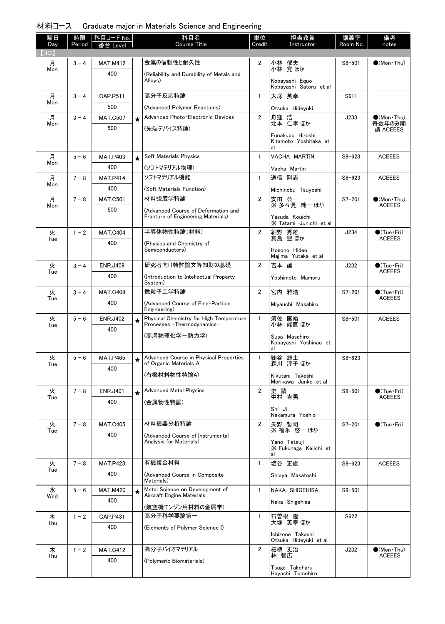| 材料コース Graduate major in Materials Science and Engineering |  |  |  |  |  |  |
|-----------------------------------------------------------|--|--|--|--|--|--|
|-----------------------------------------------------------|--|--|--|--|--|--|

| 曜日<br>Day | 時限<br>Period | 科目コード No.<br>番台 Level |         | 科目名<br><b>Course Title</b>                                            | 単位<br>Credit   | 担当教員<br>Instructor                              | 講義室<br>Room No. | 備考<br>notes                   |
|-----------|--------------|-----------------------|---------|-----------------------------------------------------------------------|----------------|-------------------------------------------------|-----------------|-------------------------------|
| [3Q]      |              |                       |         |                                                                       |                |                                                 |                 |                               |
| 月<br>Mon  | $3 - 4$      | <b>MAT.M412</b>       |         | 金属の信頼性と耐久性                                                            | $\overline{2}$ | 小林 郁夫<br>小林 覚ほか                                 | $S8 - 501$      | $\bullet$ (Mon Thu)           |
|           |              | 400                   |         | (Reliability and Durability of Metals and<br>Alloys)                  |                | Kobayashi Equo<br>Kobayashi Satoru et al        |                 |                               |
| 月         | $3 - 4$      | CAP.P511              |         | 高分子反応特論                                                               | $\mathbf{1}$   | 大塚 英幸                                           | S611            |                               |
| Mon       |              | 500                   |         | (Advanced Polymer Reactions)                                          |                | Otsuka Hideyuki                                 |                 |                               |
| 月         | $3 - 4$      | <b>MAT.C507</b>       | $\star$ | Advanced Photo-Electronic Devices                                     | $\overline{2}$ | 舟窪 浩<br>北本 仁孝 ほか                                | J233            | $\bullet$ (Mon Thu)           |
| Mon       |              | 500                   |         | (先端デバイス特論)                                                            |                |                                                 |                 | 奇数年のみ開<br>講 ACEEES            |
|           |              |                       |         |                                                                       |                | Funakubo Hiroshi<br>Kitamoto Yoshitaka et<br>al |                 |                               |
| 月         | $5 - 6$      | <b>MAT.P403</b>       | $\star$ | Soft Materials Physics                                                | $\mathbf{1}$   | VACHA MARTIN                                    | $S8 - 623$      | <b>ACEEES</b>                 |
| Mon       |              | 400                   |         | (ソフトマテリアル物理)                                                          |                | Vacha Martin                                    |                 |                               |
| 月         | $7 - 8$      | <b>MAT.P414</b>       |         | ソフトマテリアル機能                                                            | $\mathbf{1}$   | 道信 剛志                                           | $S8 - 623$      | <b>ACEEES</b>                 |
| Mon       |              | 400                   |         | (Soft Materials Function)                                             |                | Michinobu Tsuyoshi                              |                 |                               |
| 月         | $7 - 8$      | <b>MAT.C501</b>       |         | 材料強度学特論                                                               | $\overline{2}$ | 安田 公一<br>※ 多々見 純一 ほか                            | $S7 - 201$      | $\bullet$ (Mon Thu)<br>ACEEES |
| Mon       |              | 500                   |         | (Advanced Course of Deformation and                                   |                |                                                 |                 |                               |
|           |              |                       |         | Fracture of Engineering Materials)                                    |                | Yasuda Kouichi<br>X Tatami Junichi et al        |                 |                               |
| 火         | $1 - 2$      | <b>MAT.C404</b>       |         | 半導体物性特論(材料)                                                           | $\overline{2}$ | 細野 秀雄<br>真島 豊ほか                                 | J234            | $\bullet$ (Tue · Fri)         |
| Tue       |              | 400                   |         | (Physics and Chemistry of<br>Semiconductors)                          |                | Hosono Hideo<br>Majima Yutaka et al             |                 | <b>ACEEES</b>                 |
| 火         | $3 - 4$      | <b>ENR.J409</b>       |         | 研究者向け特許論文等知財の基礎                                                       | $\overline{2}$ | 吉本 護                                            | J232            | $\bullet$ (Tue · Fri)         |
| Tue       |              | 400                   |         | (Introduction to Intellectual Property                                |                | Yoshimoto Mamoru                                |                 | <b>ACEEES</b>                 |
| 火         | $3 - 4$      | <b>MAT.C409</b>       |         | System)<br>微粒子工学特論                                                    | $\overline{2}$ | 宮内 雅浩                                           | $S7 - 201$      | $\bullet$ (Tue · Fri)         |
| Tue       |              | 400                   |         | (Advanced Course of Fine-Particle                                     |                |                                                 |                 | <b>ACEEES</b>                 |
|           |              |                       |         | Engineering)                                                          |                | Miyauchi Masahiro                               |                 |                               |
| 火<br>Tue  | $5 - 6$      | <b>ENR.J402</b>       | $\star$ | Physical Chemistry for High Temperature<br>Processes -Thermodynamics- | $\mathbf{1}$   | 須佐 匡裕<br>小林 能直ほか                                | $S8 - 501$      | <b>ACEEES</b>                 |
|           |              | 400                   |         | (高温物理化学-熱カ学)                                                          |                | Susa Masahiro                                   |                 |                               |
|           |              |                       |         |                                                                       |                | Kobayashi Yoshinao et<br>al                     |                 |                               |
| 火         | $5 - 6$      | <b>MAT.P465</b>       | $\star$ | Advanced Course in Physical Properties                                | $\mathbf{1}$   | 鞠谷 雄士                                           | $S8 - 623$      |                               |
| I ue      |              | 400                   |         | of Organic Materials A                                                |                | 森川 淳子 ほか                                        |                 |                               |
|           |              |                       |         | (有機材料物性特論A)                                                           |                | Kikutani Takeshi<br>Morikawa Junko et al        |                 |                               |
| 火         | $7 - 8$      | <b>ENR.J401</b>       | $\star$ | <b>Advanced Metal Physics</b>                                         | $\overline{2}$ | 史蹟                                              | $S8 - 501$      | $\bullet$ (Tue · Fri)         |
| Tue       |              | 400                   |         | (金属物性特論)                                                              |                | 中村 吉男                                           |                 | <b>ACEEES</b>                 |
|           |              |                       |         |                                                                       |                | Shi Ji<br>Nakamura Yoshio                       |                 |                               |
| 火         | $7 - 8$      | <b>MAT.C405</b>       |         | 材料機器分析特論                                                              | $\overline{2}$ | 矢野 哲司<br>※ 福永 啓一 ほか                             | $S7 - 201$      | $\bigcirc$ (Tue · Fri)        |
| Tue       |              | 400                   |         | (Advanced Course of Instrumental                                      |                |                                                 |                 |                               |
|           |              |                       |         | Analysis for Materials)                                               |                | Yano Tetsuii<br>X Fukunaga Keiichi et           |                 |                               |
|           |              |                       |         | 有機複合材料                                                                |                | al                                              |                 |                               |
| 火<br>Tue  | $7 - 8$      | <b>MAT.P423</b>       |         |                                                                       | $\mathbf{1}$   | 塩谷 正俊                                           | $S8 - 623$      | <b>ACEEES</b>                 |
|           |              | 400                   |         | (Advanced Course in Composite<br>Materials)                           |                | Shioya Masatoshi                                |                 |                               |
| 水<br>Wed  | $5 - 6$      | <b>MAT.M420</b>       | $\star$ | Metal Science on Development of<br>Aircraft Engine Materials          | $\mathbf{1}$   | NAKA SHIGEHISA                                  | $S8 - 501$      |                               |
|           |              | 400                   |         | (航空機エンジン用材料の金属学)                                                      |                | Naka Shigehisa                                  |                 |                               |
| 木         | $1 - 2$      | CAP.P431              |         | 高分子科学要論第一                                                             | 1              |                                                 | S622            |                               |
| Thu       |              | 400                   |         | (Elements of Polymer Science I)                                       |                | 石曽根 隆<br>大塚 英幸 ほか                               |                 |                               |
|           |              |                       |         |                                                                       |                | Ishizone Takashi<br>Otsuka Hideyuki et al       |                 |                               |
| 木         | $1 - 2$      | <b>MAT.C412</b>       |         | 高分子バイオマテリアル                                                           | $\overline{2}$ |                                                 | J232            | $\bullet$ (Mon•Thu)           |
| Thu       |              | 400                   |         | (Polymeric Biomaterials)                                              |                | 柘植 丈治<br>林 智広                                   |                 | <b>ACEEES</b>                 |
|           |              |                       |         |                                                                       |                | Tsuge Takeharu<br>Hayashi Tomohiro              |                 |                               |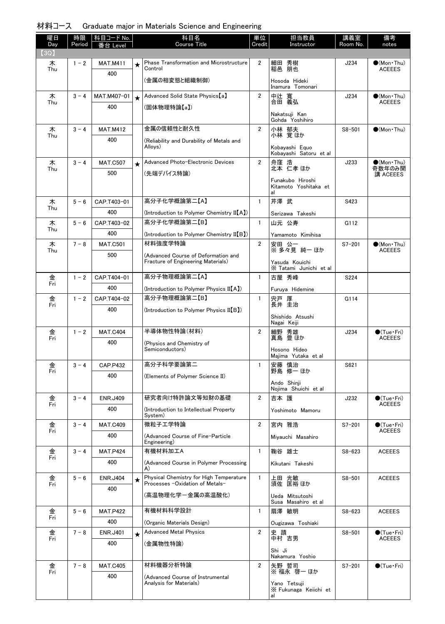| 材料コース Graduate major in Materials Science and Engineering |  |  |  |  |  |  |  |  |
|-----------------------------------------------------------|--|--|--|--|--|--|--|--|
|-----------------------------------------------------------|--|--|--|--|--|--|--|--|

| 曜日<br>Day | 時限<br>Period | │科目コード No.<br>番台 Level |          | 科目名<br><b>Course Title</b>                                                 | 単位<br>Credit   | 担当教員<br>Instructor                                        | 講義室<br>Room No. | 備考<br>notes                            |
|-----------|--------------|------------------------|----------|----------------------------------------------------------------------------|----------------|-----------------------------------------------------------|-----------------|----------------------------------------|
| 【3Q】      |              |                        |          |                                                                            |                |                                                           |                 |                                        |
| 木<br>Thu  | $1 - 2$      | <b>MAT.M411</b>        | ★        | <b>Phase Transformation and Microstructure</b><br>Control                  | $\overline{2}$ | 細田 秀樹<br>稲邑 朋也                                            | J234            | $\bullet$ (Mon•Thu)<br><b>ACEEES</b>   |
|           |              | 400                    |          | (金属の相変態と組織制御)                                                              |                | Hosoda Hideki<br>Inamura Tomonari                         |                 |                                        |
| 木<br>Thu  | $3 - 4$      | MAT.M407-01            | $\star$  | Advanced Solid State Physics [a]                                           | $\overline{2}$ | 中辻 寬<br>合田 義弘                                             | J234            | $\bullet$ (Mon Thu)<br><b>ACEEES</b>   |
|           |              | 400                    |          | (固体物理特論【a】)                                                                |                | Nakatsuji Kan<br>Gohda Yoshihiro                          |                 |                                        |
| 木         | $3 - 4$      | <b>MAT.M412</b>        |          | 金属の信頼性と耐久性                                                                 | $\overline{2}$ | 小林 郁夫<br>小林 覚ほか                                           | $S8 - 501$      | $\bigcirc$ (Mon Thu)                   |
| Thu       |              | 400                    |          | (Reliability and Durability of Metals and<br>Alloys)                       |                | Kobayashi Equo<br>Kobayashi Satoru et al                  |                 |                                        |
| 木         | $3 - 4$      | <b>MAT.C507</b>        | $\star$  | Advanced Photo-Electronic Devices                                          | $\overline{2}$ | 舟窪 浩<br>北本 仁孝ほか                                           | J233            | $\bigcirc$ (Mon Thu)                   |
| Thu       |              | 500                    |          | (先端デバイス特論)                                                                 |                |                                                           |                 | 奇数年のみ開<br>講 ACEEES                     |
|           |              |                        |          |                                                                            |                | Funakubo Hiroshi<br>Kitamoto Yoshitaka et<br>al           |                 |                                        |
| 木<br>Thu  | $5 - 6$      | CAP.T403-01            |          | 高分子化学概論第二【A】                                                               | $\mathbf{1}$   | 芹澤 武                                                      | S423            |                                        |
|           |              | 400                    |          | (Introduction to Polymer Chemistry II[A])                                  |                | Serizawa Takeshi                                          |                 |                                        |
| 木<br>Thu  | $5 - 6$      | CAP.T403-02            |          | 高分子化学概論第二【B】                                                               | $\mathbf{1}$   | 山元 公寿                                                     | G112            |                                        |
|           |              | 400                    |          | (Introduction to Polymer Chemistry II(B))                                  |                | Yamamoto Kimihisa                                         |                 |                                        |
| 木<br>Thu  | $7 - 8$      | <b>MAT.C501</b>        |          | 材料強度学特論                                                                    | $\overline{2}$ | 安田 公一<br>※ 多々見 純一 ほか                                      | $S7 - 201$      | $\bullet$ (Mon•Thu)<br><b>ACEEES</b>   |
|           |              | 500                    |          | (Advanced Course of Deformation and<br>Fracture of Engineering Materials)  |                | Yasuda Kouichi<br>X Tatami Junichi et al                  |                 |                                        |
| 金<br>Fri  | $1 - 2$      | CAP.T404-01            |          | 高分子物理概論第二【A】                                                               | $\mathbf{1}$   | 古屋 秀峰                                                     | S224            |                                        |
|           |              | 400                    |          | (Introduction to Polymer Physics II(A))                                    |                | Furuya Hidemine                                           |                 |                                        |
| 金<br>Fri  | $1 - 2$      | CAP.T404-02            |          | 高分子物理概論第二【B】                                                               | $\mathbf{1}$   | 宍戸 厚<br>長井 圭治                                             | G114            |                                        |
|           |              | 400                    |          | (Introduction to Polymer Physics II[B])                                    |                | Shishido Atsushi<br>Nagai Keiji                           |                 |                                        |
| 金         | $1 - 2$      | <b>MAT.C404</b>        |          | 半導体物性特論(材料)                                                                | $\overline{2}$ | 細野 秀雄<br>真島 豊ほか                                           | J234            | $\bullet$ (Tue•Fri)                    |
| Fri       |              | 400                    |          | (Physics and Chemistry of<br>Semiconductors)                               |                | Hosono Hideo                                              |                 | <b>ACEEES</b>                          |
|           | $3 - 4$      | <b>CAP.P432</b>        |          | 高分子科学要論第二                                                                  | 1              | Majima Yutaka et al<br>安藤 慎治                              | S621            |                                        |
| 金<br>Fri  |              | 400                    |          | (Elements of Polymer Science II)                                           |                | 野島 修一 ほか                                                  |                 |                                        |
|           |              |                        |          |                                                                            |                | Ando Shinji<br>Nojima Shuichi et al                       |                 |                                        |
| 金<br>Fri  | $3 - 4$      | <b>ENR.J409</b>        |          | 研究者向け特許論文等知財の基礎                                                            | $\overline{2}$ | 吉本 護                                                      | J232            | $\bullet$ (Tue · Fri)<br><b>ACEEES</b> |
|           |              | 400                    |          | (Introduction to Intellectual Property)<br>System)                         |                | Yoshimoto Mamoru                                          |                 |                                        |
| 金         | $3 - 4$      | <b>MAT.C409</b>        |          | 微粒子工学特論                                                                    | $\overline{2}$ | 宮内 雅浩                                                     | $S7 - 201$      | $\bullet$ (Tue · Fri)                  |
| Fri       |              | 400                    |          | (Advanced Course of Fine-Particle<br>Engineering)                          |                | Mivauchi Masahiro                                         |                 | <b>ACEEES</b>                          |
| 金<br>Fri  | $3 - 4$      | <b>MAT.P424</b>        |          | 有機材料加工A                                                                    | $\mathbf{1}$   | 鞠谷 雄士                                                     | $S8 - 623$      | <b>ACEEES</b>                          |
|           |              | 400                    |          | (Advanced Course in Polymer Processing<br>A)                               |                | Kikutani Takeshi                                          |                 |                                        |
| 金<br>Fri  | $5 - 6$      | <b>ENR.J404</b>        | $^\star$ | Physical Chemistry for High Temperature<br>Processes -Oxidation of Metals- | $\mathbf{1}$   | 上田 光敏<br>須佐 匡裕 ほか                                         | $S8 - 501$      | <b>ACEEES</b>                          |
|           |              | 400                    |          | (高温物理化学ー金属の高温酸化)                                                           |                | Ueda Mitsutoshi<br>Susa Masahiro et al                    |                 |                                        |
| 金         | $5 - 6$      | <b>MAT.P422</b>        |          | 有機材料科学設計                                                                   | $\mathbf{1}$   | 扇澤 敏明                                                     | $S8 - 623$      | <b>ACEEES</b>                          |
| Fri       |              | 400                    |          | (Organic Materials Design)                                                 |                | Ougizawa Toshiaki                                         |                 |                                        |
| 金<br>Fri  | $7 - 8$      | <b>ENR.J401</b>        | $\star$  | <b>Advanced Metal Physics</b>                                              | $\overline{2}$ | 史蹟<br>中村 吉男                                               | $S8 - 501$      | $\bullet$ (Tue•Fri)<br><b>ACEEES</b>   |
|           |              | 400                    |          | (金属物性特論)                                                                   |                | Shi Ji<br>Nakamura Yoshio                                 |                 |                                        |
| 金<br>Fri  | $7 - 8$      | <b>MAT.C405</b>        |          | 材料機器分析特論                                                                   | $\overline{2}$ | 矢野 哲司                                                     | $S7 - 201$      | $\bigcirc$ (Tue•Fri)                   |
|           |              | 400                    |          | (Advanced Course of Instrumental<br>Analysis for Materials)                |                | ※ 福永 啓一 ほか<br>Yano Tetsuji<br>X Fukunaga Keiichi et<br>al |                 |                                        |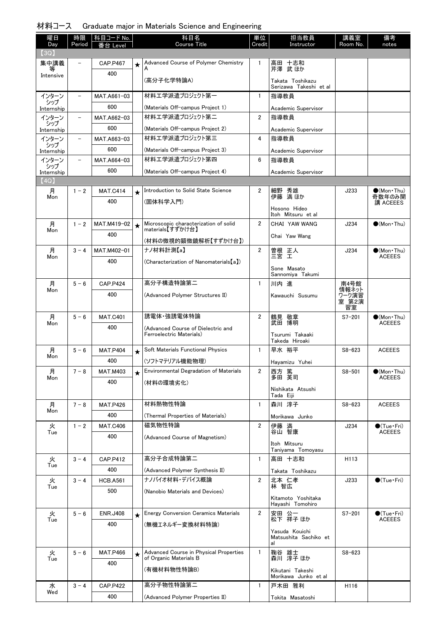|  | 材料コース Graduate major in Materials Science and Engineering |  |  |  |  |  |  |  |
|--|-----------------------------------------------------------|--|--|--|--|--|--|--|
|--|-----------------------------------------------------------|--|--|--|--|--|--|--|

| 曜日                | 時限                       | 科目コード No.              |          | 科目名                                                            | 単位             | 担当教員                                       | 講義室            | 備考                                    |
|-------------------|--------------------------|------------------------|----------|----------------------------------------------------------------|----------------|--------------------------------------------|----------------|---------------------------------------|
| Day<br>(3Q)       | Period                   | 番台 Level               |          | <b>Course Title</b>                                            | Credit         | Instructor                                 | Room No.       | notes                                 |
| 集中講義              |                          | <b>CAP.P467</b>        | $\star$  | Advanced Course of Polymer Chemistry                           | $\mathbf{1}$   | 高田 十志和<br>芹澤 武ほか                           |                |                                       |
| 等<br>Intensive    |                          | 400                    |          |                                                                |                |                                            |                |                                       |
|                   |                          |                        |          | (高分子化学特論A)                                                     |                | Takata Toshikazu<br>Serizawa Takeshi et al |                |                                       |
| インターン             | $\qquad \qquad -$        | MAT.A661-03            |          | 材料工学派遣プロジェクト第一                                                 | $\mathbf{1}$   | 指導教員                                       |                |                                       |
| シップ<br>Internship |                          | 600                    |          | (Materials Off-campus Project 1)                               |                | Academic Supervisor                        |                |                                       |
| インターン<br>シップ      | $\overline{\phantom{a}}$ | MAT.A662-03            |          | 材料エ学派遣プロジェクト第二                                                 | $\overline{2}$ | 指導教員                                       |                |                                       |
| Internship        |                          | 600                    |          | (Materials Off-campus Project 2)                               |                | Academic Supervisor                        |                |                                       |
| インターン<br>シップ      | $\overline{a}$           | MAT.A663-03            |          | 材料エ学派遣プロジェクト第三                                                 | 4              | 指導教員                                       |                |                                       |
| Internship        |                          | 600                    |          | (Materials Off-campus Project 3)                               |                | Academic Supervisor                        |                |                                       |
| インターン<br>シップ      | $\overline{\phantom{0}}$ | MAT.A664-03            |          | 材料エ学派遣プロジェクト第四                                                 | 6              | 指導教員                                       |                |                                       |
| Internship        |                          | 600                    |          | (Materials Off-campus Project 4)                               |                | Academic Supervisor                        |                |                                       |
| (4Q)<br>月         | $1 - 2$                  | <b>MAT.C414</b>        |          | Introduction to Solid State Science                            | 2              |                                            | J233           | $(Mon\cdot Thu)$                      |
| Mon               |                          | 400                    | $^\star$ | (固体科学入門)                                                       |                | 細野 秀雄<br>伊藤 満ほか                            |                | 奇数年のみ開<br>講 ACEEES                    |
|                   |                          |                        |          |                                                                |                | Hosono Hideo                               |                |                                       |
| 月                 | $1 - 2$                  | MAT.M419-02            | $\star$  | Microscopic characterization of solid                          | 2              | Itoh Mitsuru et al<br>CHAI YAW WANG        | J234           | $\bigcirc$ (Mon Thu)                  |
| Mon               |                          | 400                    |          | materials【すずかけ台】                                               |                | Chai Yaw Wang                              |                |                                       |
|                   |                          |                        |          | (材料の微視的顕微鏡解析【すずかけ台】)                                           |                |                                            |                |                                       |
| 月<br>Mon          | $3 - 4$                  | MAT.M402-01            |          | ナノ材料計測【a】                                                      | $\overline{2}$ | 曽根 正人<br>三宮 工                              | J234           | $\bullet$ (Mon•Thu)<br><b>ACEEES</b>  |
|                   |                          | 400                    |          | (Characterization of Nanomaterials[a])                         |                | Sone Masato                                |                |                                       |
|                   |                          |                        |          |                                                                |                | Sannomiya Takumi                           |                |                                       |
| 月<br>Mon          | $5 - 6$                  | <b>CAP.P424</b>        |          | 高分子構造特論第二                                                      | $\mathbf{1}$   | 川内進                                        | 南4号館<br>情報ネット  |                                       |
|                   |                          | 400                    |          | (Advanced Polymer Structures II)                               |                | Kawauchi Susumu                            | ワーク演習<br>室 第2演 |                                       |
|                   |                          |                        |          |                                                                |                |                                            | 習室             |                                       |
| 月<br>Mon          | $5 - 6$                  | <b>MAT.C401</b>        |          | 誘電体·強誘電体特論                                                     | $\overline{2}$ | 鶴見 敬章<br>武田 博明                             | $S7 - 201$     | $\bullet$ (Mon•Thu)<br><b>ACEEES</b>  |
|                   |                          | 400                    |          | (Advanced Course of Dielectric and<br>Ferroelectric Materials) |                | Tsurumi Takaaki                            |                |                                       |
|                   |                          |                        |          |                                                                |                | Takeda Hiroaki                             |                |                                       |
| 月<br>Mon          | $5 - 6$                  | <b>MAT.P404</b>        | $\star$  | Soft Materials Functional Physics                              | $\mathbf{1}$   | 早水 裕平                                      | $S8 - 623$     | <b>ACEEES</b>                         |
| 月                 | $7 - 8$                  | 400<br><b>MAT.M403</b> |          | (ソフトマテリアル機能物理)<br>Environmental Degradation of Materials       | 2              | Hayamizu Yuhei                             |                |                                       |
| Mon               |                          | 400                    | $\star$  | (材料の環境劣化)                                                      |                | 西方 篤<br>多田 英司                              | $S8 - 501$     | $\bigcirc$ (Mon Thu)<br><b>ACEEES</b> |
|                   |                          |                        |          |                                                                |                | Nishikata Atsushi                          |                |                                       |
| 月                 | $7 - 8$                  | <b>MAT.P426</b>        |          | 材料熱物性特論                                                        | $\mathbf{1}$   | Tada Eiji<br>森川 淳子                         | $S8 - 623$     | <b>ACEEES</b>                         |
| Mon               |                          | 400                    |          | (Thermal Properties of Materials)                              |                | Morikawa Junko                             |                |                                       |
| 火                 | $1 - 2$                  | <b>MAT.C406</b>        |          | 磁気物性特論                                                         | $\overline{2}$ | 伊藤 満                                       | J234           | $\bullet$ (Tue•Fri)                   |
| Tue               |                          | 400                    |          | (Advanced Course of Magnetism)                                 |                | 谷山 智康                                      |                | <b>ACEEES</b>                         |
|                   |                          |                        |          |                                                                |                | Itoh Mitsuru<br>Taniyama Tomoyasu          |                |                                       |
| 火                 | $3 - 4$                  | <b>CAP.P412</b>        |          | 高分子合成特論第二                                                      | $\mathbf{1}$   | 高田 十志和                                     | H113           |                                       |
| Tue               |                          | 400                    |          | (Advanced Polymer Synthesis II)                                |                | Takata Toshikazu                           |                |                                       |
| 火                 | $3 - 4$                  | <b>HCB.A561</b>        |          | ナノバイオ材料・デバイス概論                                                 | $\overline{2}$ | 北本 仁孝                                      | J233           | $\bigcirc$ (Tue · Fri)                |
| Tue               |                          | 500                    |          | (Nanobio Materials and Devices)                                |                | 林 智広                                       |                |                                       |
|                   |                          |                        |          |                                                                |                | Kitamoto Yoshitaka<br>Hayashi Tomohiro     |                |                                       |
| 火                 | $5 - 6$                  | <b>ENR.J408</b>        | $\star$  | <b>Energy Conversion Ceramics Materials</b>                    | $\overline{2}$ | 安田 公一                                      | $S7 - 201$     | $\bigcirc$ (Tue·Fri)                  |
| Tue               |                          | 400                    |          | (無機エネルギー変換材料特論)                                                |                | 松下 祥子 ほか                                   |                | <b>ACEEES</b>                         |
|                   |                          |                        |          |                                                                |                | Yasuda Kouichi<br>Matsushita Sachiko et    |                |                                       |
|                   |                          |                        |          | Advanced Course in Physical Properties                         | $\mathbf{1}$   | al                                         |                |                                       |
| 火<br>Tue          | $5 - 6$                  | <b>MAT.P466</b><br>400 | $\star$  | of Organic Materials B                                         |                | 鞠谷 雄士<br>森川 淳子ほか                           | $S8 - 623$     |                                       |
|                   |                          |                        |          | (有機材料物性特論B)                                                    |                | Kikutani Takeshi                           |                |                                       |
| 水                 | $3 - 4$                  | <b>CAP.P422</b>        |          | 高分子物性特論第二                                                      | $\mathbf{1}$   | Morikawa Junko et al<br>戸木田 雅利             | H116           |                                       |
| Wed               |                          | 400                    |          | (Advanced Polymer Properties II)                               |                |                                            |                |                                       |
|                   |                          |                        |          |                                                                |                | Tokita Masatoshi                           |                |                                       |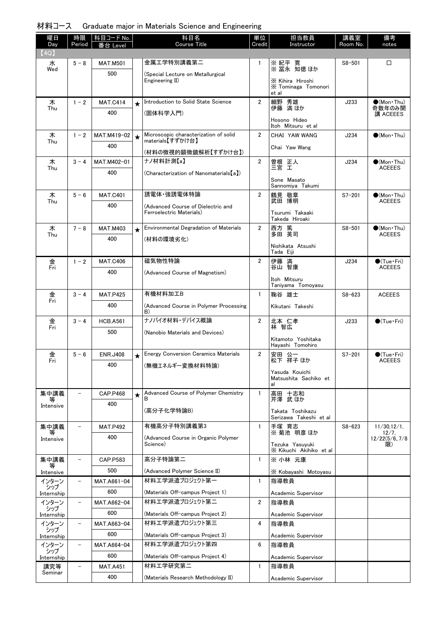| 材料コース Graduate major in Materials Science and Engineering |  |  |  |  |  |  |  |
|-----------------------------------------------------------|--|--|--|--|--|--|--|
|-----------------------------------------------------------|--|--|--|--|--|--|--|

| 曜日<br>Day         | 時限<br>Period             | 科目コード No.<br>番台 Level |         | 科目名<br>Course Title                          | 単位<br>Credit   | 担当教員<br>Instructor                               | 講義室<br>Room No. | 備考<br>notes                             |
|-------------------|--------------------------|-----------------------|---------|----------------------------------------------|----------------|--------------------------------------------------|-----------------|-----------------------------------------|
| (4Q)              |                          |                       |         |                                              |                |                                                  |                 |                                         |
| 水                 | $5 - 8$                  | <b>MAT.M501</b>       |         | 金属工学特別講義第二                                   | -1             | ※ 紀平 寛<br>※ 冨永 知徳 ほか                             | $S8 - 501$      | □                                       |
| Wed               |                          | 500                   |         | (Special Lecture on Metallurgical            |                |                                                  |                 |                                         |
|                   |                          |                       |         | Engineering II)                              |                | X Kihira Hiroshi<br>X Tominaga Tomonori<br>et al |                 |                                         |
| 木<br>Thu          | $1 - 2$                  | <b>MAT.C414</b>       | $\star$ | Introduction to Solid State Science          | $\overline{2}$ | 細野 秀雄<br>伊藤 満ほか                                  | J233            | $\bullet$ (Mon Thu)<br>奇数年のみ開           |
|                   |                          | 400                   |         | (固体科学入門)                                     |                | Hosono Hideo<br>Itoh Mitsuru et al               |                 | 講 ACEEES                                |
| 木                 | $1 - 2$                  | MAT.M419-02           | $\star$ | Microscopic characterization of solid        | $\overline{2}$ | CHAI YAW WANG                                    | J234            | $(Mon\cdot Thu)$                        |
| Thu               |                          | 400                   |         | materials【すずかけ台】                             |                | Chai Yaw Wang                                    |                 |                                         |
|                   |                          |                       |         | (材料の微視的顕微鏡解析【すずかけ台】)<br>ナノ材料計測【a】            |                |                                                  |                 |                                         |
| 木<br>Thu          | $3 - 4$                  | MAT.M402-01<br>400    |         |                                              | $\overline{2}$ | 曽根 正人<br>三宮 工                                    | J234            | $\bullet$ (Mon•Thu)<br><b>ACEEES</b>    |
|                   |                          |                       |         | (Characterization of Nanomaterials[a])       |                | Sone Masato                                      |                 |                                         |
|                   | $5 - 6$                  | <b>MAT.C401</b>       |         | 誘電体·強誘電体特論                                   | $\overline{2}$ | Sannomiya Takumi<br>鶴見 敬章                        | $S7 - 201$      | $\bigcirc$ (Mon Thu)                    |
| 木<br>Thu          |                          | 400                   |         | (Advanced Course of Dielectric and           |                | 武田 博明                                            |                 | <b>ACEEES</b>                           |
|                   |                          |                       |         | Ferroelectric Materials)                     |                | Tsurumi Takaaki<br>Takeda Hiroaki                |                 |                                         |
| 木<br>Thu          | $7 - 8$                  | <b>MAT.M403</b>       | $\star$ | Environmental Degradation of Materials       | $\overline{2}$ | 西方 篤<br>多田 英司                                    | $S8 - 501$      | $\bullet$ (Mon•Thu)<br><b>ACEEES</b>    |
|                   |                          | 400                   |         | (材料の環境劣化)                                    |                | Nishikata Atsushi                                |                 |                                         |
|                   |                          |                       |         |                                              |                | Tada Eiji                                        |                 |                                         |
| 金<br>Fri          | $1 - 2$                  | <b>MAT.C406</b>       |         | 磁気物性特論                                       | $\overline{2}$ | 伊藤 満<br>谷山 智康                                    | J234            | $\bullet$ (Tue•Fri)<br><b>ACEEES</b>    |
|                   |                          | 400                   |         | (Advanced Course of Magnetism)               |                | Itoh Mitsuru<br>Taniyama Tomoyasu                |                 |                                         |
| 金                 | $3 - 4$                  | <b>MAT.P425</b>       |         | 有機材料加工B                                      | $\mathbf{1}$   | 鞠谷 雄士                                            | $S8 - 623$      | <b>ACEEES</b>                           |
| Fri               |                          | 400                   |         | (Advanced Course in Polymer Processing<br>B) |                | Kikutani Takeshi                                 |                 |                                         |
| 金<br>Fri          | $3 - 4$                  | <b>HCB.A561</b>       |         | ナノバイオ材料・デバイス概論                               | $\overline{2}$ | 北本 仁孝<br>林 智広                                    | J233            | $\bigcirc$ (Tue·Fri)                    |
|                   |                          | 500                   |         | (Nanobio Materials and Devices)              |                |                                                  |                 |                                         |
|                   |                          |                       |         |                                              |                | Kitamoto Yoshitaka<br>Hayashi Tomohiro           |                 |                                         |
| 金<br>Fri          | $5 - 6$                  | <b>ENR.J408</b>       | $\star$ | <b>Energy Conversion Ceramics Materials</b>  | $\overline{2}$ | 安田 公一<br>松下 祥子 ほか                                | $S7 - 201$      | $\bigcirc$ (Tue · Fri)<br><b>ACEEES</b> |
|                   |                          | 400                   |         | (無機エネルギー変換材料特論)                              |                | Yasuda Kouichi                                   |                 |                                         |
|                   |                          |                       |         |                                              |                | Matsushita Sachiko et<br>al                      |                 |                                         |
| 集中講義              |                          | <b>CAP.P468</b>       | $\star$ | Advanced Course of Polymer Chemistry         | $\mathbf{1}$   | 高田 十志和<br>芹澤 武 ほか                                |                 |                                         |
| Intensive         |                          | 400                   |         | (高分子化学特論B)                                   |                | Takata Toshikazu<br>Serizawa Takeshi et al       |                 |                                         |
| 集中講義              |                          | <b>MAT.P492</b>       |         | 有機高分子特別講義第3                                  | $\mathbf{1}$   | 手塚 育志                                            | $S8 - 623$      | $11/30, 12/1$ ,                         |
| Intensive         |                          | 400                   |         | (Advanced Course in Organic Polymer          |                | ※菊池 明彦 ほか                                        |                 | 12/7,<br>12/22(5/6, 7/8)                |
|                   |                          |                       |         | Science)                                     |                | Tezuka Yasuyuki<br>X Kikuchi Akihiko et al       |                 | 限)                                      |
| 集中講義              |                          | CAP.P583              |         | 高分子特論第二                                      | $\mathbf{1}$   | ※ 小林 元康                                          |                 |                                         |
| 等<br>Intensive    |                          | 500                   |         | (Advanced Polymer Science II)                |                | X Kobayashi Motoyasu                             |                 |                                         |
| インターン             | $\overline{\phantom{0}}$ | MAT.A661-04           |         | 材料工学派遣プロジェクト第一                               | $\mathbf{1}$   | 指導教員                                             |                 |                                         |
| シップ<br>Internship |                          | 600                   |         | (Materials Off-campus Project 1)             |                | Academic Supervisor                              |                 |                                         |
| インターン<br>シップ      | $\overline{\phantom{a}}$ | MAT.A662-04           |         | 材料エ学派遣プロジェクト第二                               | $\overline{2}$ | 指導教員                                             |                 |                                         |
| Internship        |                          | 600                   |         | (Materials Off-campus Project 2)             |                | Academic Supervisor                              |                 |                                         |
| インターン<br>シップ      | $\qquad \qquad -$        | MAT.A663-04           |         | 材料エ学派遣プロジェクト第三                               | 4              | 指導教員                                             |                 |                                         |
| Internship        |                          | 600                   |         | (Materials Off-campus Project 3)             |                | Academic Supervisor                              |                 |                                         |
| インターン<br>シップ      | $\overline{\phantom{0}}$ | MAT.A664-04           |         | 材料エ学派遣プロジェクト第四                               | 6              | 指導教員                                             |                 |                                         |
| Internship        |                          | 600                   |         | (Materials Off-campus Project 4)             |                | Academic Supervisor                              |                 |                                         |
| 講究等<br>Seminar    | $\qquad \qquad -$        | <b>MAT.A451</b>       |         | 材料工学研究第二                                     | $\mathbf{1}$   | 指導教員                                             |                 |                                         |
|                   |                          | 400                   |         | (Materials Research Methodology II)          |                | Academic Supervisor                              |                 |                                         |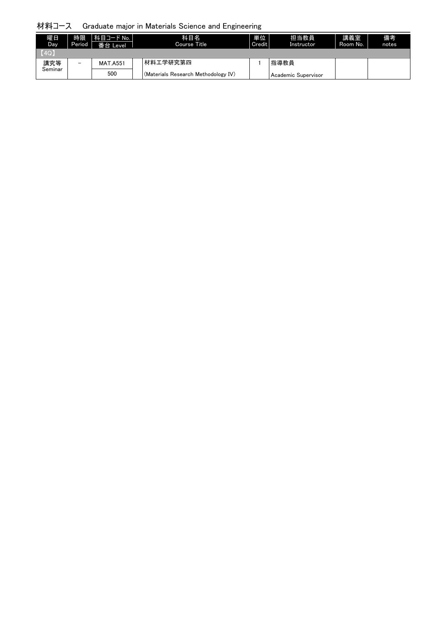## 材料コース Graduate major in Materials Science and Engineering

| 曜日<br>Day | 時限<br>Period | 科目コード No.<br>番台 Level | 科目名<br>Course Title                 | 単位<br>Credit | 担当教員<br>Instructor  | 講義室<br>Room No. | 備考<br>notes |
|-----------|--------------|-----------------------|-------------------------------------|--------------|---------------------|-----------------|-------------|
| [4Q]      |              |                       |                                     |              |                     |                 |             |
| 講究等       | -            | <b>MAT.A551</b>       | 材料工学研究第四                            |              | 指導教員                |                 |             |
| Seminar   |              | 500                   | (Materials Research Methodology IV) |              | Academic Supervisor |                 |             |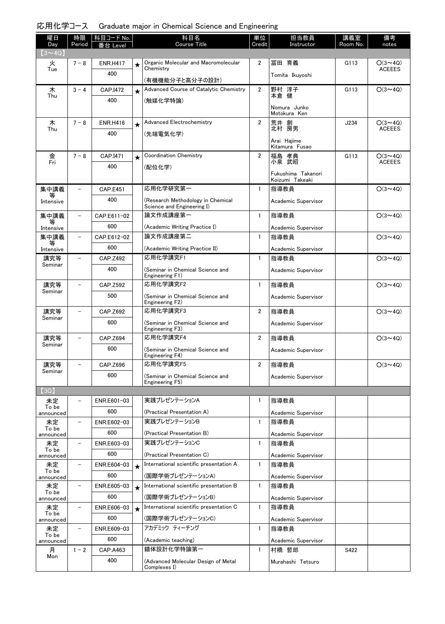| 曜日<br>Day          | 時限<br>Period             | │科目コード No.<br>番台 Level |         | 科目名<br><b>Course Title</b>                                      | 単位<br>Credit            | 担当教員<br>Instructor                    | 講義室<br>Room No. | 備考<br>notes    |
|--------------------|--------------------------|------------------------|---------|-----------------------------------------------------------------|-------------------------|---------------------------------------|-----------------|----------------|
| $(3 \sim 4Q)$      |                          |                        |         |                                                                 |                         |                                       |                 |                |
| 火                  | $7 - 8$                  | <b>ENR.H417</b>        | $\star$ | Organic Molecular and Macromolecular                            | $\overline{2}$          | 冨田 育義                                 | G113            | $O(3 \sim 4Q)$ |
| Tue                |                          | 400                    |         | Chemistry<br>(有機機能分子と高分子の設計)                                    |                         | Tomita Ikuyoshi                       |                 | <b>ACEEES</b>  |
| 木                  | $3 - 4$                  | CAP.I472               | $\star$ | Advanced Course of Catalytic Chemistry                          | $\overline{2}$          | 野村 淳子                                 | G113            | $O(3 \sim 4Q)$ |
| Thu                |                          | 400                    |         | (触媒化学特論)                                                        |                         | 本倉 健                                  |                 |                |
|                    |                          |                        |         |                                                                 |                         | Nomura Junko<br>Motokura Ken          |                 |                |
| 木                  | $7 - 8$                  | <b>ENR.H416</b>        | $\star$ | Advanced Electrochemistry                                       | $\overline{2}$          | 荒井 創                                  | J234            | $O(3 \sim 4Q)$ |
| Thu                |                          | 400                    |         | (先端電気化学)                                                        |                         | 北村 房男                                 |                 | <b>ACEEES</b>  |
|                    |                          |                        |         |                                                                 |                         | Arai Hajime<br>Kitamura Fusao         |                 |                |
| 金                  | $7 - 8$                  | CAP.I471               | $\star$ | <b>Coordination Chemistry</b>                                   | $\overline{2}$          | 福島 孝典                                 | G113            | $O(3 \sim 4Q)$ |
| Fri                |                          | 400                    |         | (配位化学)                                                          |                         | 小泉 武昭                                 |                 | <b>ACEEES</b>  |
|                    |                          |                        |         |                                                                 |                         | Fukushima Takanori<br>Koizumi Takeaki |                 |                |
| 集中講義               |                          | <b>CAP.E451</b>        |         | 応用化学研究第一                                                        | $\mathbf{1}$            | 指導教員                                  |                 | $O(3 \sim 4Q)$ |
| 等<br>Intensive     |                          | 400                    |         | (Research Methodology in Chemical<br>Science and Engineering I) |                         | Academic Supervisor                   |                 |                |
| 集中講義               | $\qquad \qquad -$        | CAP.E611-02            |         | 論文作成講座第一                                                        | $\mathbf{1}$            | 指導教員                                  |                 | $O(3 \sim 4Q)$ |
| 等<br>Intensive     |                          | 600                    |         | (Academic Writing Practice I)                                   |                         | Academic Supervisor                   |                 |                |
| 集中講義               | $\overline{\phantom{0}}$ | CAP.E612-02            |         | 論文作成講座第二                                                        | $\mathbf{1}$            | 指導教員                                  |                 | $O(3 \sim 4Q)$ |
| 等<br>Intensive     |                          | 600                    |         | (Academic Writing Practice II)                                  |                         | Academic Supervisor                   |                 |                |
| 講究等                |                          | <b>CAP.Z492</b>        |         | 応用化学講究F1                                                        | $\mathbf{1}$            | 指導教員                                  |                 | $O(3 \sim 4Q)$ |
| Seminar            |                          | 400                    |         | (Seminar in Chemical Science and<br>Engineering F1)             |                         | Academic Supervisor                   |                 |                |
| 講究等                |                          | <b>CAP.Z592</b>        |         | 応用化学講究F2                                                        | $\mathbf{1}$            | 指導教員                                  |                 | $O(3 \sim 4Q)$ |
| Seminar            |                          | 500                    |         | (Seminar in Chemical Science and<br>Engineering F2)             |                         | Academic Supervisor                   |                 |                |
| 講究等                |                          | CAP.Z692               |         | 応用化学講究F3                                                        | $\overline{\mathbf{2}}$ | 指導教員                                  |                 | $O(3 \sim 4Q)$ |
| Seminar            |                          | 600                    |         | (Seminar in Chemical Science and<br>Engineering F3)             |                         | Academic Supervisor                   |                 |                |
| 講究等                |                          | CAP.Z694               |         | 応用化学講究F4                                                        | $\overline{2}$          | 指導教員                                  |                 | $O(3 \sim 4Q)$ |
| Seminar            |                          | 600                    |         | (Seminar in Chemical Science and<br>Engineering F4)             |                         | Academic Supervisor                   |                 |                |
| 講究等                |                          | CAP.Z696               |         | 応用化学講究F5                                                        | $\overline{2}$          | 指導教員                                  |                 | $O(3 \sim 4Q)$ |
| Seminar            |                          | 600                    |         | (Seminar in Chemical Science and                                |                         | Academic Supervisor                   |                 |                |
| (3Q)               |                          |                        |         | Engineering F5)                                                 |                         |                                       |                 |                |
| 未定                 |                          | ENR.E601-03            |         | 実践プレゼンテーションA                                                    | 1                       | 指導教員                                  |                 |                |
| To be<br>announced |                          | 600                    |         | (Practical Presentation A)                                      |                         | Academic Supervisor                   |                 |                |
| 未定                 |                          | ENR.E602-03            |         | 実践プレゼンテーションB                                                    | $\mathbf{1}$            | 指導教員                                  |                 |                |
| To be<br>announced |                          | 600                    |         | (Practical Presentation B)                                      |                         | Academic Supervisor                   |                 |                |
| 未定                 | $\qquad \qquad -$        | ENR.E603-03            |         | 実践プレゼンテーションC                                                    | $\mathbf{1}$            | 指導教員                                  |                 |                |
| To be<br>announced |                          | 600                    |         | (Practical Presentation C)                                      |                         | Academic Supervisor                   |                 |                |
| 未定                 | -                        | ENR.E604-03            | $\star$ | International scientific presentation A                         | $\mathbf{1}$            | 指導教員                                  |                 |                |
| To be<br>announced |                          | 600                    |         | (国際学術ブレゼンテーションA)                                                |                         | Academic Supervisor                   |                 |                |
| 未定<br>To be        | $\overline{\phantom{0}}$ | ENR.E605-03            | $\star$ | International scientific presentation B                         | $\mathbf{1}$            | 指導教員                                  |                 |                |
| announced          |                          | 600                    |         | (国際学術プレゼンテーションB)                                                |                         | Academic Supervisor                   |                 |                |
| 未定<br>To be        |                          | ENR.E606-03            | $\star$ | International scientific presentation C                         | $\mathbf{1}$            | 指導教員                                  |                 |                |
| announced          |                          | 600                    |         | (国際学術プレゼンテーションC)                                                |                         | Academic Supervisor                   |                 |                |
| 未定<br>To be        | $\overline{a}$           | ENR.E609-03            |         | アカデミック ティーチング                                                   | $\mathbf{1}$            | 指導教員                                  |                 |                |
| announced          |                          | 600                    |         | (Academic teaching)                                             |                         | Academic Supervisor                   |                 |                |
| 月<br>Mon           | $1 - 2$                  | CAP.A463               |         | 錯体設計化学特論第一                                                      | $\mathbf{1}$            | 村橋 哲郎                                 | S422            |                |
|                    |                          | 400                    |         | (Advanced Molecular Design of Metal<br>Complexes I)             |                         | Murahashi Tetsuro                     |                 |                |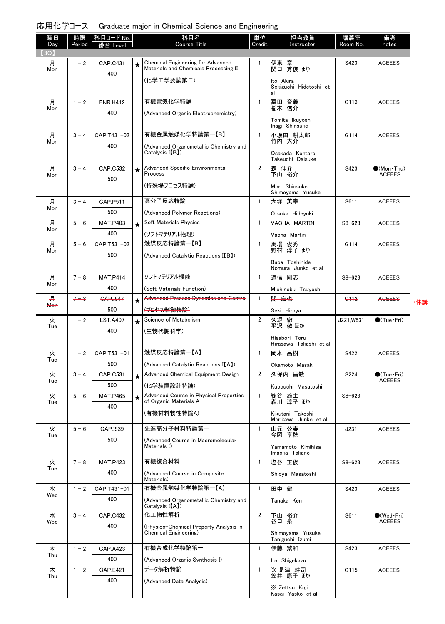| 曜日<br>Day | 時限<br>Period | │ 科目コード No.<br>を合 Level |         | 科目名<br><b>Course Title</b>                                                 | 単位<br>Credit   | 担当教員<br>Instructor                      | 講義室<br>Room No. | 備考<br>notes                          |     |
|-----------|--------------|-------------------------|---------|----------------------------------------------------------------------------|----------------|-----------------------------------------|-----------------|--------------------------------------|-----|
| (3Q)      |              |                         |         |                                                                            |                |                                         |                 |                                      |     |
| 月<br>Mon  | $1 - 2$      | CAP.C431                | $\star$ | Chemical Engineering for Advanced<br>Materials and Chemicals Processing II | $\mathbf{1}$   | 伊東 章<br>関口 秀俊 ほか                        | S423            | <b>ACEEES</b>                        |     |
|           |              | 400                     |         | (化学エ学要論第二)                                                                 |                | Ito Akira                               |                 |                                      |     |
|           |              |                         |         |                                                                            |                | Sekiguchi Hidetoshi et                  |                 |                                      |     |
| 月         | $1 - 2$      | <b>ENR.H412</b>         |         | 有機電気化学特論                                                                   | $\mathbf{1}$   | 冨田 育義                                   | G113            | <b>ACEEES</b>                        |     |
| Mon       |              | 400                     |         | (Advanced Organic Electrochemistry)                                        |                | 稲木 信介                                   |                 |                                      |     |
|           |              |                         |         |                                                                            |                | Tomita Ikuyoshi<br>Inagi Shinsuke       |                 |                                      |     |
| 月         | $3 - 4$      | CAP.T431-02             |         | 有機金属触媒化学特論第一【B】                                                            | $\mathbf{1}$   | 小坂田 耕太郎                                 | G114            | <b>ACEEES</b>                        |     |
| Mon       |              | 400                     |         | (Advanced Organometallic Chemistry and                                     |                | 竹内 大介                                   |                 |                                      |     |
|           |              |                         |         | Catalysis I(B)                                                             |                | Osakada Kohtaro<br>Takeuchi Daisuke     |                 |                                      |     |
| 月         | $3 - 4$      | <b>CAP.C532</b>         | $\star$ | Advanced Specific Environmental<br>Process                                 | $\overline{2}$ | 森 伸介<br>下山 裕介                           | S423            | $\bullet$ (Mon Thu)<br><b>ACEEES</b> |     |
| Mon       |              | 500                     |         | (特殊場プロセス特論)                                                                |                |                                         |                 |                                      |     |
|           |              |                         |         |                                                                            |                | Mori Shinsuke<br>Shimoyama Yusuke       |                 |                                      |     |
| 月<br>Mon  | $3 - 4$      | CAP.P511                |         | 高分子反応特論                                                                    | $\mathbf{1}$   | 大塚 英幸                                   | S611            | <b>ACEEES</b>                        |     |
|           |              | 500                     |         | (Advanced Polymer Reactions)                                               |                | Otsuka Hideyuki                         |                 |                                      |     |
| 月<br>Mon  | $5 - 6$      | <b>MAT.P403</b>         | $\star$ | Soft Materials Physics                                                     | $\mathbf{1}$   | VACHA MARTIN                            | $S8 - 623$      | <b>ACEEES</b>                        |     |
|           |              | 400                     |         | (ソフトマテリアル物理)                                                               |                | Vacha Martin                            |                 |                                      |     |
| 月<br>Mon  | $5 - 6$      | CAP.T531-02             |         | 触媒反応特論第一【B】                                                                | $\mathbf{1}$   | 馬場 俊秀<br>野村 淳子 ほか                       | G114            | <b>ACEEES</b>                        |     |
|           |              | 500                     |         | (Advanced Catalytic Reactions I(B))                                        |                | Baba Toshihide                          |                 |                                      |     |
|           |              |                         |         | ソフトマテリアル機能                                                                 |                | Nomura Junko et al                      |                 |                                      |     |
| 月<br>Mon  | $7 - 8$      | <b>MAT.P414</b><br>400  |         |                                                                            | $\mathbf{1}$   | 道信 剛志                                   | $S8 - 623$      | <b>ACEEES</b>                        |     |
| 丹         | $7 - 8$      | <b>GAP.1547</b>         |         | (Soft Materials Function)<br><b>Advanced Process Dynamics and Control</b>  | $+$            | Michinobu Tsuyoshi<br>関 宏也              | <del>G112</del> | <b>AGEEES</b>                        |     |
| Mon       |              | 500                     | ✦       | (プロセス制御特論)                                                                 |                | Seki Hiroya                             |                 |                                      | ▸休講 |
| 火         | $1 - 2$      | <b>LST.A407</b>         |         | Science of Metabolism                                                      | $\overline{2}$ | 久堀 徹                                    | J221, W831      | $\bigcirc$ (Tue•Fri)                 |     |
| Tue       |              | 400                     |         | (生物代謝科学)                                                                   |                | 平沢 敬ほか                                  |                 |                                      |     |
|           |              |                         |         |                                                                            |                | Hisabori Toru<br>Hirasawa Takashi et al |                 |                                      |     |
| 火         | $1 - 2$      | CAP.T531-01             |         | 触媒反応特論第一【A】                                                                | $\mathbf{1}$   | 岡本 昌樹                                   | S422            | <b>ACEEES</b>                        |     |
| Tue       |              | 500                     |         | (Advanced Catalytic Reactions I[A])                                        |                | Okamoto Masaki                          |                 |                                      |     |
| 火         | $3 - 4$      | CAP.C531                | $\star$ | Advanced Chemical Equipment Design                                         | $\overline{2}$ | 久保内 昌敏                                  | S224            | $\bullet$ (Tue · Fri)                |     |
| Tue       |              | 500                     |         | (化学装置設計特論)                                                                 |                | Kubouchi Masatoshi                      |                 | <b>ACEEES</b>                        |     |
| 火<br>Tue  | $5 - 6$      | <b>MAT.P465</b>         |         | Advanced Course in Physical Properties<br>of Organic Materials A           | $\mathbf{1}$   | 鞠谷 雄士<br>森川 淳子 ほか                       | $S8 - 623$      |                                      |     |
|           |              | 400                     |         | (有機材料物性特論A)                                                                |                | Kikutani Takeshi                        |                 |                                      |     |
|           |              |                         |         |                                                                            |                | Morikawa Junko et al                    |                 |                                      |     |
| 火<br>Tue  | $5 - 6$      | CAP.I539                |         | 先進高分子材料特論第一                                                                | $\mathbf{1}$   | 山元 公寿<br>今岡 享稔                          | J231            | <b>ACEEES</b>                        |     |
|           |              | 500                     |         | (Advanced Course in Macromolecular<br>Materials I)                         |                | Yamamoto Kimihisa                       |                 |                                      |     |
|           |              |                         |         |                                                                            |                | Imaoka Takane                           |                 |                                      |     |
| 火<br>Tue  | $7 - 8$      | <b>MAT.P423</b>         |         | 有機複合材料                                                                     | $\mathbf{1}$   | 塩谷 正俊                                   | $S8 - 623$      | <b>ACEEES</b>                        |     |
|           |              | 400                     |         | (Advanced Course in Composite<br>Materials)                                |                | Shioya Masatoshi                        |                 |                                      |     |
| 水<br>Wed  | $1 - 2$      | CAP.T431-01             |         | 有機金属触媒化学特論第一【A】                                                            | $\mathbf{1}$   | 田中 健                                    | S423            | <b>ACEEES</b>                        |     |
|           |              | 400                     |         | (Advanced Organometallic Chemistry and<br>Catalysis I(A)                   |                | Tanaka Ken                              |                 |                                      |     |
| 水         | $3 - 4$      | <b>CAP.C432</b>         |         | 化工物性解析                                                                     | $\overline{2}$ | 下山 裕介                                   | S611            | $\bullet$ (Wed Fri)                  |     |
| Wed       |              | 400                     |         | (Physico-Chemical Property Analysis in                                     |                | 谷口 泉                                    |                 | <b>ACEEES</b>                        |     |
|           |              |                         |         | Chemical Engineering)                                                      |                | Shimoyama Yusuke<br>Taniguchi Izumi     |                 |                                      |     |
| 木         | $1 - 2$      | CAP.A423                |         | 有機合成化学特論第一                                                                 | $\mathbf{1}$   | 伊藤 繁和                                   | S423            | <b>ACEEES</b>                        |     |
| Thu       |              | 400                     |         | (Advanced Organic Synthesis I)                                             |                | Ito Shigekazu                           |                 |                                      |     |
| 木<br>Thu  | $1 - 2$      | <b>CAP.E421</b>         |         | データ解析特論                                                                    | $\mathbf{1}$   | ※ 是津 耕司<br>笠井 康子 ほか                     | G115            | <b>ACEEES</b>                        |     |
|           |              | 400                     |         | (Advanced Data Analysis)                                                   |                |                                         |                 |                                      |     |
|           |              |                         |         |                                                                            |                | X Zettsu Koji<br>Kasai Yasko et al      |                 |                                      |     |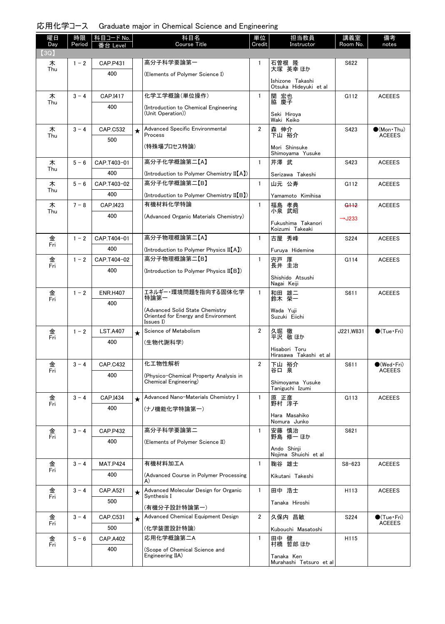| 曜日<br>Day | 時限<br>Period | │科目コード No. │<br>番台 Level |         | 科目名<br><b>Course Title</b>                                                          | 単位<br>Credit   | 担当教員<br>Instructor                    | 講義室<br>Room No.    | 備考<br>notes                                  |
|-----------|--------------|--------------------------|---------|-------------------------------------------------------------------------------------|----------------|---------------------------------------|--------------------|----------------------------------------------|
| (3Q)      |              |                          |         |                                                                                     |                |                                       |                    |                                              |
| 木<br>Thu  | $1 - 2$      | <b>CAP.P431</b>          |         | 高分子科学要論第一                                                                           | $\mathbf{1}$   | 石曽根 隆<br>大塚 英幸 ほか                     | S622               |                                              |
|           |              | 400                      |         | (Elements of Polymer Science I)                                                     |                | Ishizone Takashi                      |                    |                                              |
|           |              |                          |         |                                                                                     |                | Otsuka Hideyuki et al                 |                    |                                              |
| 木<br>Thu  | $3 - 4$      | CAP.I417                 |         | 化学工学概論(単位操作)                                                                        | $\mathbf{1}$   | 関 宏也<br>脇 慶子                          | G112               | <b>ACEEES</b>                                |
|           |              | 400                      |         | (Introduction to Chemical Engineering<br>(Unit Operation))                          |                | Seki Hiroya<br>Waki Keiko             |                    |                                              |
| 木<br>Thu  | $3 - 4$      | CAP.C532                 | $\star$ | Advanced Specific Environmental<br>Process                                          | $\overline{2}$ | 森 伸介<br>下山 裕介                         | S423               | $(Mon$ Thu)<br><b>ACEEES</b>                 |
|           |              | 500                      |         | (特殊場プロセス特論)                                                                         |                | Mori Shinsuke                         |                    |                                              |
|           |              |                          |         |                                                                                     |                | Shimoyama Yusuke                      |                    |                                              |
| 木<br>Thu  | $5 - 6$      | CAP.T403-01              |         | 高分子化学概論第二【A】                                                                        | $\mathbf{1}$   | 芹澤 武                                  | S423               | <b>ACEEES</b>                                |
|           |              | 400                      |         | (Introduction to Polymer Chemistry II[A])                                           |                | Serizawa Takeshi                      |                    |                                              |
| 木<br>Thu  | $5 - 6$      | CAP.T403-02              |         | 高分子化学概論第二【B】                                                                        | $\mathbf{1}$   | 山元 公寿                                 | G112               | <b>ACEEES</b>                                |
|           |              | 400                      |         | (Introduction to Polymer Chemistry II(B))                                           |                | Yamamoto Kimihisa                     |                    |                                              |
| 木<br>Thu  | $7 - 8$      | CAP.I423                 |         | 有機材料化学特論                                                                            | $\mathbf{1}$   | 福島 孝典<br>小泉 武昭                        | G <sub>112</sub>   | <b>ACEEES</b>                                |
|           |              | 400                      |         | (Advanced Organic Materials Chemistry)                                              |                | Fukushima Takanori<br>Koizumi Takeaki | $\rightarrow$ J233 |                                              |
| 金<br>Fri  | $1 - 2$      | CAP.T404-01              |         | 高分子物理概論第二【A】                                                                        | $\mathbf{1}$   | 古屋 秀峰                                 | S <sub>224</sub>   | <b>ACEEES</b>                                |
|           |              | 400                      |         | (Introduction to Polymer Physics II[A])                                             |                | Furuya Hidemine                       |                    |                                              |
| 金<br>Fri  | $1 - 2$      | CAP.T404-02              |         | 高分子物理概論第二【B】                                                                        | $\mathbf{1}$   | 宍戸 厚<br>長井 圭治                         | G114               | <b>ACEEES</b>                                |
|           |              | 400                      |         | (Introduction to Polymer Physics II(B))                                             |                | Shishido Atsushi<br>Nagai Keiji       |                    |                                              |
| 金         | $1 - 2$      | <b>ENR.H407</b>          |         | エネルギー・環境問題を指向する固体化学                                                                 | $\mathbf{1}$   | 和田 雄二                                 | S611               | <b>ACEEES</b>                                |
| Fri       |              | 400                      |         | 特論第一                                                                                |                | 鈴木 榮一                                 |                    |                                              |
|           |              |                          |         | (Advanced Solid State Chemistry<br>Oriented for Energy and Environment<br>Issues I) |                | Wada Yuji<br>Suzuki Eiichi            |                    |                                              |
| 金<br>Fri  | $1 - 2$      | <b>LST.A407</b>          | $\star$ | Science of Metabolism                                                               | $\overline{2}$ | 久堀 徹<br>平沢 敬ほか                        | J221, W831         | $\bigcirc$ (Tue · Fri)                       |
|           |              | 400                      |         | (生物代謝科学)                                                                            |                | Hisabori Toru                         |                    |                                              |
|           |              |                          |         |                                                                                     |                | Hirasawa Takashi et al                |                    |                                              |
| 金<br>Fri  | $3 - 4$      | <b>CAP.C432</b>          |         | 化工物性解析                                                                              | 2              | 下山 裕介<br>谷口 泉                         | S611               | $\bullet$ (Wed $\cdot$ Fri)<br><b>ACEEES</b> |
|           |              | 400                      |         | (Physico-Chemical Property Analysis in<br>Chemical Engineering)                     |                | Shimoyama Yusuke<br>Taniguchi Izumi   |                    |                                              |
| 金         | $3 - 4$      | CAP.I434                 | $\star$ | Advanced Nano-Materials Chemistry I                                                 | $\mathbf{1}$   | 原 正彦                                  | G113               | <b>ACEEES</b>                                |
| Fri       |              | 400                      |         | (ナノ機能化学特論第一)                                                                        |                | 野村 淳子                                 |                    |                                              |
|           |              |                          |         |                                                                                     |                | Hara Masahiko<br>Nomura Junko         |                    |                                              |
| 金<br>Fri  | $3 - 4$      | <b>CAP.P432</b>          |         | 高分子科学要論第二                                                                           | $\mathbf{1}$   | 安藤 慎治<br>野島 修一 ほか                     | S621               |                                              |
|           |              | 400                      |         | (Elements of Polymer Science II)                                                    |                | Ando Shinji<br>Nojima Shuichi et al   |                    |                                              |
| 金         | $3 - 4$      | <b>MAT.P424</b>          |         | 有機材料加工A                                                                             | $\mathbf{1}$   | 鞠谷 雄士                                 | $S8 - 623$         | <b>ACEEES</b>                                |
| Fri       |              | 400                      |         | (Advanced Course in Polymer Processing                                              |                | Kikutani Takeshi                      |                    |                                              |
|           |              |                          |         | A)<br>Advanced Molecular Design for Organic                                         |                |                                       |                    |                                              |
| 金<br>Fri  | $3 - 4$      | <b>CAP.A521</b><br>500   | $\star$ | Synthesis I                                                                         | $\mathbf{1}$   | 田中 浩士                                 | H113               | <b>ACEEES</b>                                |
|           |              |                          |         | (有機分子設計特論第一)                                                                        |                | Tanaka Hiroshi                        |                    |                                              |
| 金<br>Fri  | $3 - 4$      | CAP.C531                 | $\star$ | Advanced Chemical Equipment Design                                                  | $\overline{2}$ | 久保内 昌敏                                | S224               | $\bullet$ (Tue · Fri)<br><b>ACEEES</b>       |
|           |              | 500                      |         | (化学装置設計特論)                                                                          |                | Kubouchi Masatoshi                    |                    |                                              |
| 金<br>Fri  | $5 - 6$      | <b>CAP.A402</b>          |         | 応用化学概論第二A                                                                           | $\mathbf{1}$   | 田中 健<br>村橋 哲郎 ほか                      | H115               |                                              |
|           |              | 400                      |         | (Scope of Chemical Science and<br>Engineering IIA)                                  |                | Tanaka Ken                            |                    |                                              |
|           |              |                          |         |                                                                                     |                | Murahashi Tetsuro et al               |                    |                                              |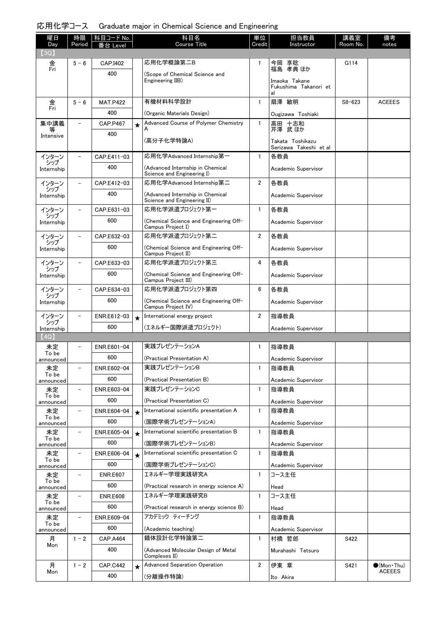| 曜日                 | 時限                       | コード No.         |         | 科目名                                                             | 単位             | 担当教員                                   | 講義室        | 備考                                     |
|--------------------|--------------------------|-----------------|---------|-----------------------------------------------------------------|----------------|----------------------------------------|------------|----------------------------------------|
| Day<br>(3Q)        | Period                   |                 |         | <b>Course Title</b>                                             | Credit         | Instructor                             | Room No.   | notes                                  |
| 金                  | $5 - 6$                  | CAP.I402        |         | 応用化学概論第二B                                                       | 1              |                                        | G114       |                                        |
| Fri                |                          | 400             |         | (Scope of Chemical Science and                                  |                | 今岡 享稔<br>福島 孝典 ほか                      |            |                                        |
|                    |                          |                 |         | Engineering IIB)                                                |                | Imaoka Takane<br>Fukushima Takanori et |            |                                        |
|                    |                          |                 |         |                                                                 |                | al                                     |            |                                        |
| 金<br>Fri           | $5 - 6$                  | <b>MAT.P422</b> |         | 有機材料科学設計                                                        | $\mathbf{1}$   | 扇澤 敏明                                  | $S8 - 623$ | <b>ACEEES</b>                          |
|                    |                          | 400             |         | (Organic Materials Design)                                      |                | Ougizawa Toshiaki                      |            |                                        |
| 集中講義               | $\overline{\phantom{0}}$ | <b>CAP.P467</b> | $\star$ | Advanced Course of Polymer Chemistry                            | $\mathbf{1}$   | 高田 十志和<br>芹澤 武 ほか                      |            |                                        |
| Intensive          |                          | 400             |         | (高分子化学特論A)                                                      |                | Takata Toshikazu                       |            |                                        |
|                    |                          |                 |         |                                                                 |                | Serizawa Takeshi et al                 |            |                                        |
| インターン<br>シップ       |                          | CAP.E411-03     |         | 応用化学Advanced Internship第一                                       | $\mathbf{1}$   | 各教員                                    |            |                                        |
| Internship         |                          | 400             |         | (Advanced Internship in Chemical<br>Science and Engineering I)  |                | Academic Supervisor                    |            |                                        |
| インターン              |                          | CAP.E412-03     |         | 応用化学Advanced Internship第二                                       | $\overline{2}$ | 各教員                                    |            |                                        |
| シップ<br>Internship  |                          | 400             |         | (Advanced Internship in Chemical<br>Science and Engineering II) |                | Academic Supervisor                    |            |                                        |
| インターン              |                          | CAP.E631-03     |         | 応用化学派遣プロジェクト第一                                                  | $\mathbf{1}$   | 各教員                                    |            |                                        |
| シップ<br>Internship  |                          | 600             |         | (Chemical Science and Engineering Off-                          |                | Academic Supervisor                    |            |                                        |
|                    |                          | CAP.E632-03     |         | Campus Project I)<br>応用化学派遣プロジェクト第二                             | $\overline{2}$ | 各教員                                    |            |                                        |
| インターン<br>シップ       |                          | 600             |         |                                                                 |                |                                        |            |                                        |
| Internship         |                          |                 |         | (Chemical Science and Engineering Off-<br>Campus Project II)    |                | Academic Supervisor                    |            |                                        |
| インターン<br>シップ       |                          | CAP.E633-03     |         | 応用化学派遣プロジェクト第三                                                  | 4              | 各教員                                    |            |                                        |
| Internship         |                          | 600             |         | (Chemical Science and Engineering Off-<br>Campus Project III)   |                | Academic Supervisor                    |            |                                        |
| インターン              |                          | CAP.E634-03     |         | 応用化学派遣プロジェクト第四                                                  | 6              | 各教員                                    |            |                                        |
| シップ<br>Internship  |                          | 600             |         | (Chemical Science and Engineering Off-                          |                | Academic Supervisor                    |            |                                        |
| インターン              |                          | ENR.E612-03     | $\star$ | Campus Project IV)<br>International energy project              | $\overline{2}$ | 指導教員                                   |            |                                        |
| シップ                |                          | 600             |         | (エネルギー国際派遣プロジェクト)                                               |                | Academic Supervisor                    |            |                                        |
| Internship<br>(4Q) |                          |                 |         |                                                                 |                |                                        |            |                                        |
| 未定                 |                          | ENR.E601-04     |         | 実践プレゼンテーションA                                                    | 1              | 指導教員                                   |            |                                        |
| To be<br>announced |                          | 600             |         | (Practical Presentation A)                                      |                | Academic Supervisor                    |            |                                        |
| 未定                 | $\overline{a}$           | ENR.E602-04     |         | 実践プレゼンテーションB                                                    | 1              | 指導教員                                   |            |                                        |
| To be<br>announced |                          | 600             |         | (Practical Presentation B)                                      |                | Academic Supervisor                    |            |                                        |
| 未定                 | -                        | ENR.E603-04     |         | 実践プレゼンテーションC                                                    | $\mathbf{1}$   | 指導教員                                   |            |                                        |
| To be<br>announced |                          | 600             |         | (Practical Presentation C)                                      |                | Academic Supervisor                    |            |                                        |
| 未定                 |                          | ENR.E604-04     | $\star$ | International scientific presentation A                         | $\mathbf{1}$   | 指導教員                                   |            |                                        |
| To be<br>announced |                          | 600             |         | (国際学術プレゼンテーションA)                                                |                | Academic Supervisor                    |            |                                        |
| 未定                 |                          | ENR.E605-04     | $\star$ | International scientific presentation B                         | $\mathbf{1}$   | 指導教員                                   |            |                                        |
| To be<br>announced |                          | 600             |         | (国際学術プレゼンテーションB)                                                |                | Academic Supervisor                    |            |                                        |
| 未定                 | $\overline{\phantom{0}}$ | ENR.E606-04     | $\star$ | International scientific presentation C                         | $\mathbf{1}$   | 指導教員                                   |            |                                        |
| To be<br>announced |                          | 600             |         | (国際学術プレゼンテーションC)                                                |                | Academic Supervisor                    |            |                                        |
| 未定<br>To be        | $\qquad \qquad$          | <b>ENR.E607</b> |         | エネルギー学理実践研究A                                                    | $\mathbf{1}$   | コース主任                                  |            |                                        |
| announced          |                          | 600             |         | (Practical research in energy science A)                        |                | Head                                   |            |                                        |
| 未定<br>To be        | -                        | <b>ENR.E608</b> |         | エネルギー学理実践研究B                                                    | $\mathbf{1}$   | コース主任                                  |            |                                        |
| announced          |                          | 600             |         | (Practical research in energy science B)                        |                | Head                                   |            |                                        |
| 未定<br>To be        | -                        | ENR.E609-04     |         | アカデミック ティーチング                                                   | 1              | 指導教員                                   |            |                                        |
| announced          |                          | 600             |         | (Academic teaching)                                             |                | Academic Supervisor                    |            |                                        |
| 月<br>Mon           | $1 - 2$                  | <b>CAP.A464</b> |         | 錯体設計化学特論第二                                                      | $\mathbf{1}$   | 村橋 哲郎                                  | S422       |                                        |
|                    |                          | 400             |         | (Advanced Molecular Design of Metal<br>Complexes II)            |                | Murahashi Tetsuro                      |            |                                        |
| 月<br>Mon           | $1 - 2$                  | <b>CAP.C442</b> | $\star$ | <b>Advanced Separation Operation</b>                            | 2              | 伊東 章                                   | S421       | $\bullet$ (Mon · Thu)<br><b>ACEEES</b> |
|                    |                          | 400             |         | (分離操作特論)                                                        |                | Ito Akira                              |            |                                        |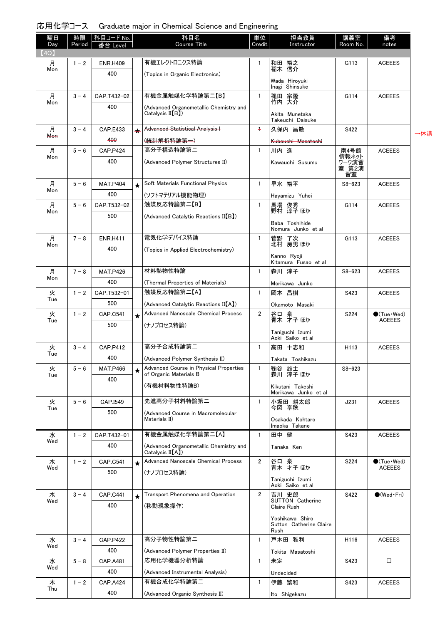| 曜日          | 時限      | 科目コード No.       |            | 科目名                                                              | 単位             | 担当教員                                               | 講義室                           | 備考                                           |     |
|-------------|---------|-----------------|------------|------------------------------------------------------------------|----------------|----------------------------------------------------|-------------------------------|----------------------------------------------|-----|
| Day<br>(4Q) | Period  | Level           |            | <b>Course Title</b>                                              | Credit         | Instructor                                         | Room No.                      | notes                                        |     |
| 月           | $1 - 2$ | <b>ENR.H409</b> |            | 有機エレクトロニクス特論                                                     | 1              | 和田 裕之<br>稲木 信介                                     | G113                          | <b>ACEEES</b>                                |     |
| Mon         |         | 400             |            | (Topics in Organic Electronics)                                  |                |                                                    |                               |                                              |     |
|             |         |                 |            |                                                                  |                | Wada Hiroyuki<br>Inagi Shinsuke                    |                               |                                              |     |
| 月           | $3 - 4$ | CAP.T432-02     |            | 有機金属触媒化学特論第二【B】                                                  | $\mathbf{1}$   | 穐田 宗隆                                              | G114                          | <b>ACEEES</b>                                |     |
| Mon         |         | 400             |            | (Advanced Organometallic Chemistry and                           |                | 竹内 大介                                              |                               |                                              |     |
|             |         |                 |            | Catalysis $II(B)$                                                |                | Akita Munetaka<br>Takeuchi Daisuke                 |                               |                                              |     |
| 井           | $3 - 4$ | <b>GAP.E433</b> |            | Advanced Statistical Analysis I                                  | $\ddagger$     | 久保内 昌敏                                             | S <sub>422</sub>              |                                              | →休講 |
| <b>Mon</b>  |         | 400             |            | (統計解析特論第一)                                                       |                | <del>Kubouchi Masatoshi</del>                      |                               |                                              |     |
| 月           | $5 - 6$ | <b>CAP.P424</b> |            | 高分子構造特論第二                                                        | $\mathbf{1}$   | 川内進                                                | 南4号館                          | <b>ACEEES</b>                                |     |
| Mon         |         | 400             |            | (Advanced Polymer Structures II)                                 |                | Kawauchi Susumu                                    | 情報ネット<br>ワーク演習<br>室 第2演<br>習室 |                                              |     |
| 月           | $5 - 6$ | <b>MAT.P404</b> | $\bigstar$ | Soft Materials Functional Physics                                | $\mathbf{1}$   | 早水 裕平                                              | $S8 - 623$                    | <b>ACEEES</b>                                |     |
| Mon         |         | 400             |            | (ソフトマテリアル機能物理)                                                   |                | Hayamizu Yuhei                                     |                               |                                              |     |
| 月           | $5 - 6$ | CAP.T532-02     |            | 触媒反応特論第二【B】                                                      | $\mathbf{1}$   | 馬場 俊秀<br>野村 淳子 ほか                                  | G114                          | <b>ACEEES</b>                                |     |
| Mon         |         | 500             |            | (Advanced Catalytic Reactions II[B])                             |                |                                                    |                               |                                              |     |
|             |         |                 |            |                                                                  |                | Baba Toshihide<br>Nomura Junko et al               |                               |                                              |     |
| 月           | $7 - 8$ | <b>ENR.H411</b> |            | 電気化学デバイス特論                                                       | $\mathbf{1}$   | 菅野 了次<br>北村 房男 ほか                                  | G113                          | <b>ACEEES</b>                                |     |
| Mon         |         | 400             |            | (Topics in Applied Electrochemistry)                             |                |                                                    |                               |                                              |     |
|             |         |                 |            |                                                                  |                | Kanno Ryoji<br>Kitamura Fusao et al                |                               |                                              |     |
| 月           | $7 - 8$ | <b>MAT.P426</b> |            | 材料熱物性特論                                                          | $\mathbf{1}$   | 森川 淳子                                              | $S8 - 623$                    | <b>ACEEES</b>                                |     |
| Mon         |         | 400             |            | (Thermal Properties of Materials)                                |                | Morikawa Junko                                     |                               |                                              |     |
| 火<br>Tue    | $1 - 2$ | CAP.T532-01     |            | 触媒反応特論第二【A】                                                      | $\mathbf{1}$   | 岡本 昌樹                                              | S423                          | <b>ACEEES</b>                                |     |
|             |         | 500             |            | (Advanced Catalytic Reactions II[A])                             |                | Okamoto Masaki                                     |                               |                                              |     |
| 火<br>Tue    | $1 - 2$ | CAP.C541        | $\bigstar$ | <b>Advanced Nanoscale Chemical Process</b>                       | $\overline{2}$ | 谷口 泉<br>青木 才子 ほか                                   | S224                          | $\bigcirc$ (Tue · Wed)<br><b>ACEEES</b>      |     |
|             |         | 500             |            | (ナノプロセス特論)                                                       |                | Taniguchi Izumi                                    |                               |                                              |     |
|             |         |                 |            |                                                                  |                | Aoki Saiko et al                                   |                               |                                              |     |
| 火<br>Tue    | $3 - 4$ | <b>CAP.P412</b> |            | 高分子合成特論第二                                                        | $\mathbf{1}$   | 高田 十志和                                             | H113                          | <b>ACEEES</b>                                |     |
|             |         | 400             |            | (Advanced Polymer Synthesis II)                                  |                | Takata Toshikazu                                   |                               |                                              |     |
| 火<br>Tue    | $5 - 6$ | <b>MAT.P466</b> |            | Advanced Course in Physical Properties<br>of Organic Materials B | $\mathbf{1}$   | 鞠谷 雄士<br>森川 淳子 ほか                                  | $S8 - 623$                    |                                              |     |
|             |         | 400             |            | (有機材料物性特論B)                                                      |                | Kikutani Takeshi<br>Morikawa Junko et al           |                               |                                              |     |
| 火           | $5 - 6$ | CAP.I549        |            | 先進高分子材料特論第二                                                      | $\mathbf{1}$   | 小坂田 耕太郎<br>今岡 享稔                                   | J231                          | <b>ACEEES</b>                                |     |
| Tue         |         | 500             |            | (Advanced Course in Macromolecular<br>Materials II)              |                |                                                    |                               |                                              |     |
|             |         |                 |            |                                                                  |                | Osakada Kohtaro<br>Imaoka Takane                   |                               |                                              |     |
| 水<br>Wed    | $1 - 2$ | CAP.T432-01     |            | 有機金属触媒化学特論第二【A】                                                  | $\mathbf{1}$   | 田中 健                                               | S423                          | <b>ACEEES</b>                                |     |
|             |         | 400             |            | (Advanced Organometallic Chemistry and<br>Catalysis II(A)        |                | Tanaka Ken                                         |                               |                                              |     |
| 水<br>Wed    | $1 - 2$ | CAP.C541        | $\bigstar$ | <b>Advanced Nanoscale Chemical Process</b>                       | $\overline{2}$ | 谷口 泉<br>青木 才子ほか                                    | S224                          | $\bullet$ (Tue $\cdot$ Wed)<br><b>ACEEES</b> |     |
|             |         | 500             |            | (ナノプロセス特論)                                                       |                | Taniguchi Izumi<br>Aoki Saiko et al                |                               |                                              |     |
| 水<br>Wed    | $3 - 4$ | CAP.C441        | $\star$    | Transport Phenomena and Operation                                | $\overline{2}$ | 吉川 史郎<br><b>SUTTON Catherine</b>                   | S422                          | $\bullet$ (Wed Fri)                          |     |
|             |         | 400             |            | (移動現象操作)                                                         |                | Claire Rush                                        |                               |                                              |     |
|             |         |                 |            |                                                                  |                | Yoshikawa Shiro<br>Sutton Catherine Claire<br>Rush |                               |                                              |     |
| 水           | $3 - 4$ | <b>CAP.P422</b> |            | 高分子物性特論第二                                                        | $\mathbf{1}$   | 戸木田 雅利                                             | H116                          | <b>ACEEES</b>                                |     |
| Wed         |         | 400             |            | (Advanced Polymer Properties II)                                 |                | Tokita Masatoshi                                   |                               |                                              |     |
| 水           | $5 - 8$ | CAP.A481        |            | 応用化学機器分析特論                                                       | $\mathbf{1}$   | 未定                                                 | S423                          | □                                            |     |
| Wed         |         | 400             |            | (Advanced Instrumental Analysis)                                 |                | Undecided                                          |                               |                                              |     |
| 木           | $1 - 2$ | <b>CAP.A424</b> |            | 有機合成化学特論第二                                                       | $\mathbf{1}$   | 伊藤 繁和                                              | S423                          | <b>ACEEES</b>                                |     |
| Thu         |         | 400             |            | (Advanced Organic Synthesis II)                                  |                | Ito Shigekazu                                      |                               |                                              |     |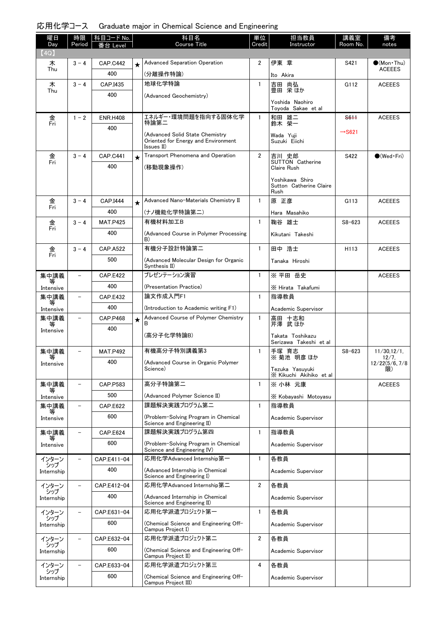| 曜日                | 時限                       | 科目コード No.       |         | 科目名                                                                                  | 単位                      | 担当教員                                       | 講義室                | 備考                    |
|-------------------|--------------------------|-----------------|---------|--------------------------------------------------------------------------------------|-------------------------|--------------------------------------------|--------------------|-----------------------|
| Day<br>(4Q)       | Period                   | eve             |         | Course Title                                                                         | Credit                  | Instructor                                 | Room No.           | notes                 |
| ᄎ                 | $3 - 4$                  | <b>CAP.C442</b> | $\star$ | <b>Advanced Separation Operation</b>                                                 | $\overline{2}$          | 伊東 章                                       | S421               | $\bullet$ (Mon Thu)   |
| Thu               |                          | 400             |         | (分離操作特論)                                                                             |                         | Ito Akira                                  |                    | <b>ACEEES</b>         |
| 木                 | $3 - 4$                  | CAP.I435        |         | 地球化学特論                                                                               | $\mathbf{1}$            | 吉田 尚弘                                      | G112               | <b>ACEEES</b>         |
| Thu               |                          | 400             |         | (Advanced Geochemistry)                                                              |                         | 豊田 栄ほか                                     |                    |                       |
|                   |                          |                 |         |                                                                                      |                         | Yoshida Naohiro<br>Toyoda Sakae et al      |                    |                       |
| 金                 | $1 - 2$                  | <b>ENR.H408</b> |         | エネルギー・環境問題を指向する固体化学                                                                  | 1                       | 和田 雄二<br>鈴木 榮一                             | S <sub>611</sub>   | <b>ACEEES</b>         |
| Fri               |                          | 400             |         | 特論第二                                                                                 |                         |                                            | $\rightarrow$ S621 |                       |
|                   |                          |                 |         | (Advanced Solid State Chemistry<br>Oriented for Energy and Environment<br>Issues II) |                         | Wada Yuji<br>Suzuki Eiichi                 |                    |                       |
| 金                 | $3 - 4$                  | <b>CAP.C441</b> | $\star$ | Transport Phenomena and Operation                                                    | $\overline{2}$          | 吉川 史郎                                      | S422               | $\bigcirc$ (Wed Fri)  |
| Fri               |                          | 400             |         | (移動現象操作)                                                                             |                         | <b>SUTTON</b> Catherine<br>Claire Rush     |                    |                       |
|                   |                          |                 |         |                                                                                      |                         | Yoshikawa Shiro<br>Sutton Catherine Claire |                    |                       |
| 金                 | $3 - 4$                  | CAP.I444        | $\star$ | Advanced Nano-Materials Chemistry II                                                 | $\mathbf{1}$            | Rush<br>原 正彦                               | G113               | <b>ACEEES</b>         |
| Fri               |                          | 400             |         | (ナノ機能化学特論第二)                                                                         |                         | Hara Masahiko                              |                    |                       |
| 金                 | $3 - 4$                  | <b>MAT.P425</b> |         | 有機材料加工B                                                                              | $\mathbf{1}$            | 鞠谷 雄士                                      | $S8 - 623$         | <b>ACEEES</b>         |
| Fri               |                          | 400             |         | (Advanced Course in Polymer Processing                                               |                         | Kikutani Takeshi                           |                    |                       |
|                   |                          |                 |         | B)                                                                                   |                         |                                            |                    |                       |
| 金<br>Fri          | $3 - 4$                  | <b>CAP.A522</b> |         | 有機分子設計特論第二                                                                           | $\mathbf{1}$            | 田中 浩士                                      | H <sub>113</sub>   | <b>ACEEES</b>         |
|                   |                          | 500             |         | (Advanced Molecular Design for Organic<br>Synthesis II)                              |                         | Tanaka Hiroshi                             |                    |                       |
| 集中講義              | $\overline{\phantom{0}}$ | <b>CAP.E422</b> |         | プレゼンテーション演習                                                                          | $\mathbf{1}$            | ※ 平田 岳史                                    |                    | <b>ACEEES</b>         |
| 等<br>Intensive    |                          | 400             |         | (Presentation Practice)                                                              |                         | X Hirata Takafumi                          |                    |                       |
| 集中講義              | -                        | <b>CAP.E432</b> |         | 論文作成入門F1                                                                             | $\mathbf{1}$            | 指導教員                                       |                    |                       |
| 等<br>Intensive    |                          | 400             |         | (Introduction to Academic writing F1)                                                |                         | Academic Supervisor                        |                    |                       |
| 集中講義              |                          | <b>CAP.P468</b> | $\star$ | Advanced Course of Polymer Chemistry<br>в                                            | $\mathbf{1}$            | 高田 十志和<br>芹澤 武 ほか                          |                    |                       |
| 等<br>Intensive    |                          | 400             |         | (高分子化学特論B)                                                                           |                         |                                            |                    |                       |
|                   |                          |                 |         |                                                                                      |                         | Takata Toshikazu<br>Serizawa Takeshi et al |                    |                       |
| 集中講義<br>等         |                          | <b>MAT.P492</b> |         | 有機高分子特別講義第3                                                                          | $\mathbf{1}$            | 手塚 育志<br>※ 菊池 明彦 ほか                        | $S8 - 623$         | 11/30, 12/1,<br>12/7, |
| Intensive         |                          | 400             |         | (Advanced Course in Organic Polymer<br>Science)                                      |                         |                                            |                    | 12/22(5/6, 7/8)       |
|                   |                          |                 |         |                                                                                      |                         | Tezuka Yasuyuki<br>X Kikuchi Akihiko et al |                    | 限)                    |
| 集中講義              | $\overline{\phantom{0}}$ | CAP.P583        |         | 高分子特論第二                                                                              | $\mathbf{1}$            | ※ 小林 元康                                    |                    | <b>ACEEES</b>         |
| Intensive         |                          | 500             |         | (Advanced Polymer Science II)                                                        |                         | X Kobavashi Motovasu                       |                    |                       |
| 集中講義              |                          | <b>CAP.E622</b> |         | 課題解決実践プログラム第二                                                                        | $\mathbf{1}$            | 指導教員                                       |                    |                       |
| Intensive         |                          | 600             |         | (Problem-Solving Program in Chemical<br>Science and Engineering II)                  |                         | Academic Supervisor                        |                    |                       |
| 集中講義              |                          | <b>CAP.E624</b> |         | 課題解決実践プログラム第四                                                                        | $\mathbf{1}$            | 指導教員                                       |                    |                       |
| Intensive         |                          | 600             |         | (Problem-Solving Program in Chemical<br>Science and Engineering IV)                  |                         | Academic Supervisor                        |                    |                       |
| インターン             |                          | CAP.E411-04     |         | 応用化学Advanced Internship第一                                                            | $\mathbf{1}$            | 各教員                                        |                    |                       |
| シップ<br>Internship |                          | 400             |         | (Advanced Internship in Chemical<br>Science and Engineering I)                       |                         | Academic Supervisor                        |                    |                       |
| インターン<br>シップ      |                          | CAP.E412-04     |         | 応用化学Advanced Internship第二                                                            | $\overline{\mathbf{2}}$ | 各教員                                        |                    |                       |
| Internship        |                          | 400             |         | (Advanced Internship in Chemical<br>Science and Engineering II)                      |                         | Academic Supervisor                        |                    |                       |
| インターン<br>シップ      |                          | CAP.E631-04     |         | 応用化学派遣プロジェクト第一                                                                       | $\mathbf{1}$            | 各教員                                        |                    |                       |
| Internship        |                          | 600             |         | (Chemical Science and Engineering Off-<br>Campus Project I)                          |                         | Academic Supervisor                        |                    |                       |
| インターン<br>シップ      |                          | CAP.E632-04     |         | 応用化学派遣プロジェクト第二                                                                       | $\overline{2}$          | 各教員                                        |                    |                       |
| Internship        |                          | 600             |         | (Chemical Science and Engineering Off-<br>Campus Project II)                         |                         | Academic Supervisor                        |                    |                       |
| インターン<br>シップ      |                          | CAP.E633-04     |         | 応用化学派遣プロジェクト第三                                                                       | 4                       | 各教員                                        |                    |                       |
| Internship        |                          | 600             |         | (Chemical Science and Engineering Off-<br>Campus Project III)                        |                         | Academic Supervisor                        |                    |                       |